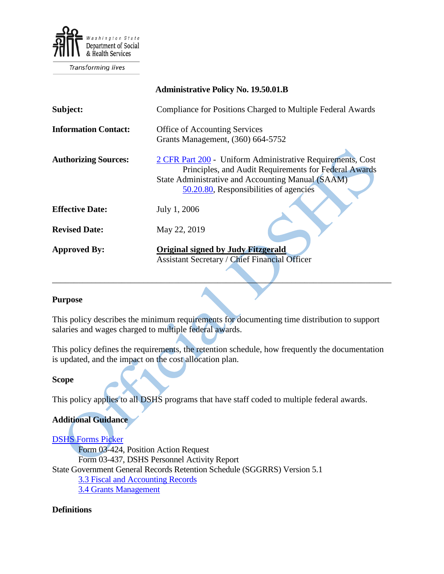

**Transforming lives** 

|                             | <b>Administrative Policy No. 19.50.01.B</b>                                                                                                                                                                        |
|-----------------------------|--------------------------------------------------------------------------------------------------------------------------------------------------------------------------------------------------------------------|
| Subject:                    | Compliance for Positions Charged to Multiple Federal Awards                                                                                                                                                        |
| <b>Information Contact:</b> | <b>Office of Accounting Services</b><br>Grants Management, (360) 664-5752                                                                                                                                          |
| <b>Authorizing Sources:</b> | 2 CFR Part 200 - Uniform Administrative Requirements, Cost<br>Principles, and Audit Requirements for Federal Awards<br>State Administrative and Accounting Manual (SAAM)<br>50.20.80, Responsibilities of agencies |
| <b>Effective Date:</b>      | July 1, 2006                                                                                                                                                                                                       |
| <b>Revised Date:</b>        | May 22, 2019                                                                                                                                                                                                       |
| <b>Approved By:</b>         | <b>Original signed by Judy Fitzgerald</b><br><b>Assistant Secretary / Chief Financial Officer</b>                                                                                                                  |

#### **Purpose**

This policy describes the minimum requirements for documenting time distribution to support salaries and wages charged to multiple federal awards.

\_\_\_\_\_\_\_\_\_\_\_\_\_\_\_\_\_\_\_\_\_\_\_\_\_\_\_\_\_\_\_\_\_\_\_\_\_\_\_\_\_\_\_\_\_\_\_\_\_\_\_\_\_\_\_\_\_\_\_\_\_\_\_\_\_\_\_\_\_\_\_\_\_\_\_\_\_\_

This policy defines the requirements, the retention schedule, how frequently the documentation is updated, and the impact on the cost allocation plan.

#### **Scope**

This policy applies to all DSHS programs that have staff coded to multiple federal awards.

#### **Additional Guidance**

[DSHS Forms Picker](http://forms.dshs.wa.lcl/) Form 03-424, Position Action Request Form 03-437, DSHS Personnel Activity Report State Government General Records Retention Schedule (SGGRRS) Version 5.1 [3.3 Fiscal and Accounting Records](http://www.sos.wa.gov/_assets/archives/RecordsManagement/SGGRRS5.1.pdf) [3.4 Grants Management](http://www.sos.wa.gov/_assets/archives/RecordsManagement/SGGRRS5.1.pdf)

#### **Definitions**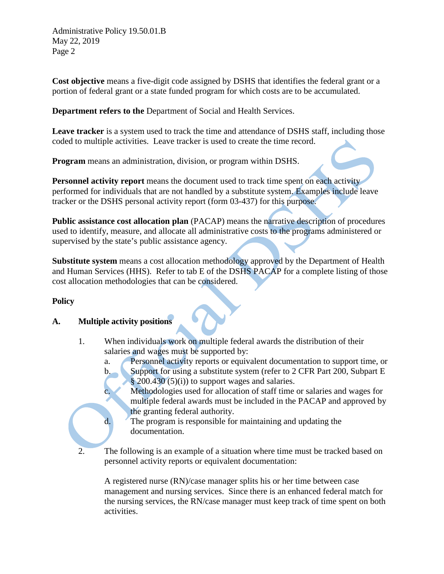Administrative Policy 19.50.01.B May 22, 2019 Page 2

**Cost objective** means a five-digit code assigned by DSHS that identifies the federal grant or a portion of federal grant or a state funded program for which costs are to be accumulated.

**Department refers to the** Department of Social and Health Services.

**Leave tracker** is a system used to track the time and attendance of DSHS staff, including those coded to multiple activities. Leave tracker is used to create the time record.

**Program** means an administration, division, or program within DSHS.

**[Personnel activity report](http://asd.dshs.wa.gov/forms/wordforms/excel/03_458.xls)** means the document used to track time spent on each activity performed for individuals that are not handled by a substitute system. Examples include leave tracker or the DSHS personal activity report (form 03-437) for this purpose.

**Public assistance cost allocation plan** (PACAP) means the narrative description of procedures used to identify, measure, and allocate all administrative costs to the programs administered or supervised by the state's public assistance agency.

**Substitute system** means a cost allocation methodology approved by the Department of Health and Human Services (HHS). Refer to tab E of the DSHS PACAP for a complete listing of those cost allocation methodologies that can be considered.

# **Policy**

# **A. Multiple activity positions**

1. When individuals work on multiple federal awards the distribution of their salaries and wages must be supported by:

a. Personnel activity reports or equivalent documentation to support time, or b. Support for using a substitute system (refer to 2 CFR Part 200, Subpart E

§ 200.430 (5)(i)) to support wages and salaries.

c. Methodologies used for allocation of staff time or salaries and wages for multiple federal awards must be included in the PACAP and approved by the granting federal authority.

- d. The program is responsible for maintaining and updating the documentation.
- 2. The following is an example of a situation where time must be tracked based on personnel activity reports or equivalent documentation:

A registered nurse (RN)/case manager splits his or her time between case management and nursing services. Since there is an enhanced federal match for the nursing services, the RN/case manager must keep track of time spent on both activities.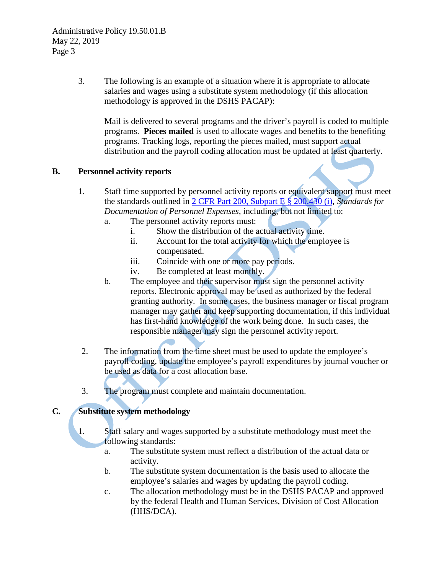3. The following is an example of a situation where it is appropriate to allocate salaries and wages using a substitute system methodology (if this allocation methodology is approved in the DSHS PACAP):

Mail is delivered to several programs and the driver's payroll is coded to multiple programs. **Pieces mailed** is used to allocate wages and benefits to the benefiting programs. Tracking logs, reporting the pieces mailed, must support actual distribution and the payroll coding allocation must be updated at least quarterly.

# **B. Personnel activity reports**

- 1. Staff time supported by personnel activity reports or equivalent support must meet the standards outlined in [2 CFR Part 200, Subpart E § 200.430 \(i\),](http://www.gpo.gov/fdsys/pkg/FR-2013-12-26/pdf/2013-30465.pdf) *Standards for Documentation of Personnel Expenses*, including, but not limited to:
	- a. The [personnel activity reports](http://asd.dshs.wa.gov/forms/wordforms/excel/03_458.xls) must:
		- i. Show the distribution of the actual activity time.
		- ii. Account for the total activity for which the employee is compensated.
		- iii. Coincide with one or more pay periods.
		- iv. Be completed at least monthly.
	- b. The employee and their supervisor must sign the personnel activity reports. Electronic approval may be used as authorized by the federal granting authority. In some cases, the business manager or fiscal program manager may gather and keep supporting documentation, if this individual has first-hand knowledge of the work being done. In such cases, the responsible manager may sign the personnel activity report.
- 2. The information from the time sheet must be used to update the employee's payroll coding, update the employee's payroll expenditures by journal voucher or be used as data for a cost allocation base.
- 3. The program must complete and maintain documentation.

# **C. Substitute system methodology**

- 1. Staff salary and wages supported by a substitute methodology must meet the following standards:
	- a. The substitute system must reflect a distribution of the actual data or activity.
	- b. The substitute system documentation is the basis used to allocate the employee's salaries and wages by updating the payroll coding.
	- c. The allocation methodology must be in the DSHS PACAP and approved by the federal Health and Human Services, Division of Cost Allocation (HHS/DCA).